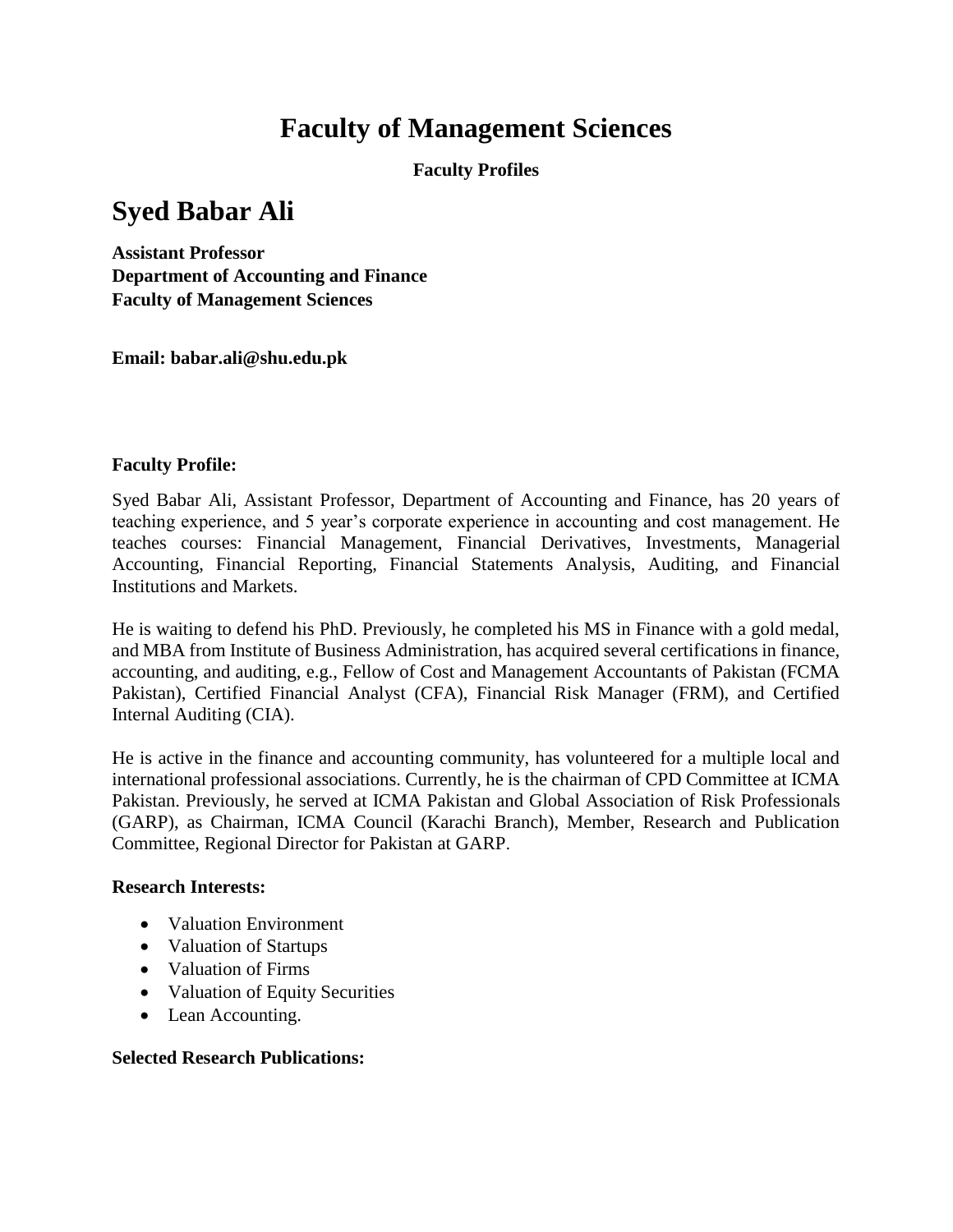# **Faculty of Management Sciences**

**Faculty Profiles**

## **Syed Babar Ali**

**Assistant Professor Department of Accounting and Finance Faculty of Management Sciences**

**Email: babar.ali@shu.edu.pk**

#### **Faculty Profile:**

Syed Babar Ali, Assistant Professor, Department of Accounting and Finance, has 20 years of teaching experience, and 5 year's corporate experience in accounting and cost management. He teaches courses: Financial Management, Financial Derivatives, Investments, Managerial Accounting, Financial Reporting, Financial Statements Analysis, Auditing, and Financial Institutions and Markets.

He is waiting to defend his PhD. Previously, he completed his MS in Finance with a gold medal, and MBA from Institute of Business Administration, has acquired several certifications in finance, accounting, and auditing, e.g., Fellow of Cost and Management Accountants of Pakistan (FCMA Pakistan), Certified Financial Analyst (CFA), Financial Risk Manager (FRM), and Certified Internal Auditing (CIA).

He is active in the finance and accounting community, has volunteered for a multiple local and international professional associations. Currently, he is the chairman of CPD Committee at ICMA Pakistan. Previously, he served at ICMA Pakistan and Global Association of Risk Professionals (GARP), as Chairman, ICMA Council (Karachi Branch), Member, Research and Publication Committee, Regional Director for Pakistan at GARP.

#### **Research Interests:**

- Valuation Environment
- Valuation of Startups
- Valuation of Firms
- Valuation of Equity Securities
- Lean Accounting.

### **Selected Research Publications:**